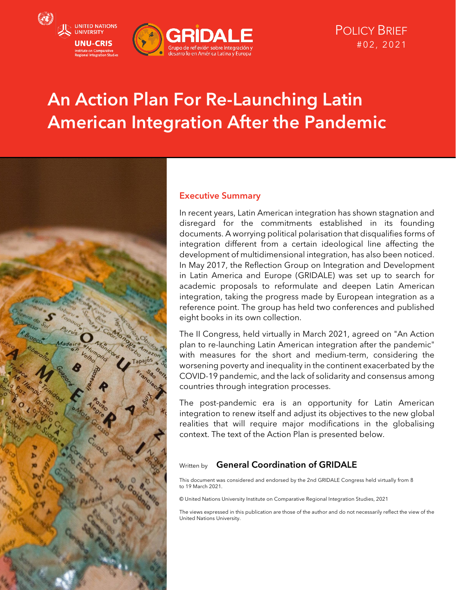

# An Action Plan For Re-Launching Latin American Integration After the Pandemic



#### Executive Summary

In recent years, Latin American integration has shown stagnation and disregard for the commitments established in its founding documents. A worrying political polarisation that disqualifies forms of integration different from a certain ideological line affecting the development of multidimensional integration, has also been noticed. In May 2017, the Reflection Group on Integration and Development in Latin America and Europe (GRIDALE) was set up to search for academic proposals to reformulate and deepen Latin American integration, taking the progress made by European integration as a reference point. The group has held two conferences and published eight books in its own collection.

The II Congress, held virtually in March 2021, agreed on "An Action plan to re-launching Latin American integration after the pandemic" with measures for the short and medium-term, considering the worsening poverty and inequality in the continent exacerbated by the COVID-19 pandemic, and the lack of solidarity and consensus among countries through integration processes.

The post-pandemic era is an opportunity for Latin American integration to renew itself and adjust its objectives to the new global realities that will require major modifications in the globalising context. The text of the Action Plan is presented below.

#### Written by **General Coordination of GRIDALE**

This document was considered and endorsed by the 2nd GRIDALE Congress held virtually from 8 to 19 March 2021.

© United Nations University Institute on Comparative Regional Integration Studies, 2021

The views expressed in this publication are those of the author and do not necessarily reflect the view of the United Nations University.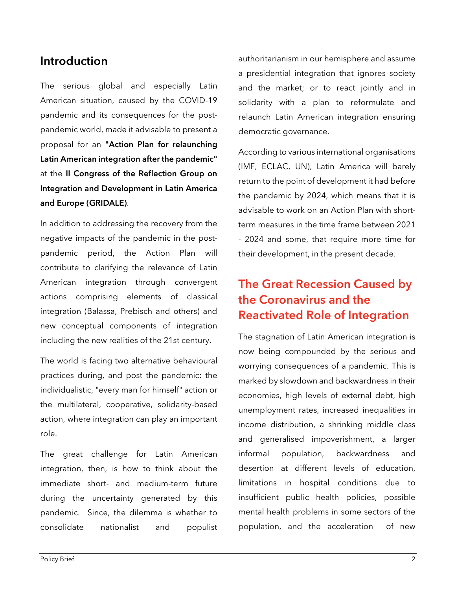## Introduction

The serious global and especially Latin American situation, caused by the COVID-19 pandemic and its consequences for the postpandemic world, made it advisable to present a proposal for an "Action Plan for relaunching Latin American integration after the pandemic" at the II Congress of the Reflection Group on Integration and Development in Latin America and Europe (GRIDALE).

In addition to addressing the recovery from the negative impacts of the pandemic in the postpandemic period, the Action Plan will contribute to clarifying the relevance of Latin American integration through convergent actions comprising elements of classical integration (Balassa, Prebisch and others) and new conceptual components of integration including the new realities of the 21st century.

The world is facing two alternative behavioural practices during, and post the pandemic: the individualistic, "every man for himself" action or the multilateral, cooperative, solidarity-based action, where integration can play an important role.

The great challenge for Latin American integration, then, is how to think about the immediate short- and medium-term future during the uncertainty generated by this pandemic. Since, the dilemma is whether to consolidate nationalist and populist authoritarianism in our hemisphere and assume a presidential integration that ignores society and the market; or to react jointly and in solidarity with a plan to reformulate and relaunch Latin American integration ensuring democratic governance.

According to various international organisations (IMF, ECLAC, UN), Latin America will barely return to the point of development it had before the pandemic by 2024, which means that it is advisable to work on an Action Plan with shortterm measures in the time frame between 2021 - 2024 and some, that require more time for their development, in the present decade.

## The Great Recession Caused by the Coronavirus and the Reactivated Role of Integration

The stagnation of Latin American integration is now being compounded by the serious and worrying consequences of a pandemic. This is marked by slowdown and backwardness in their economies, high levels of external debt, high unemployment rates, increased inequalities in income distribution, a shrinking middle class and generalised impoverishment, a larger informal population, backwardness and desertion at different levels of education, limitations in hospital conditions due to insufficient public health policies, possible mental health problems in some sectors of the population, and the acceleration of new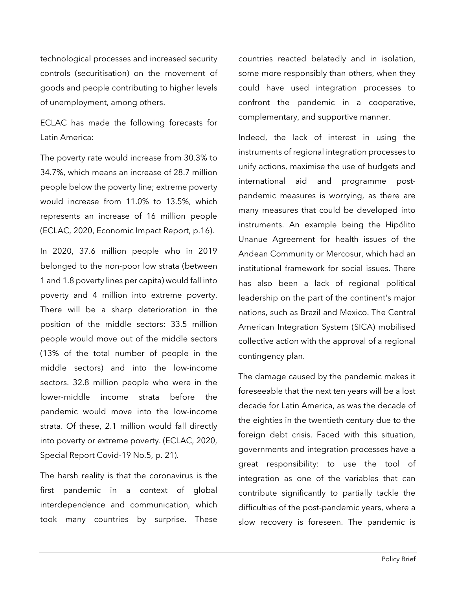technological processes and increased security controls (securitisation) on the movement of goods and people contributing to higher levels of unemployment, among others.

ECLAC has made the following forecasts for Latin America:

The poverty rate would increase from 30.3% to 34.7%, which means an increase of 28.7 million people below the poverty line; extreme poverty would increase from 11.0% to 13.5%, which represents an increase of 16 million people (ECLAC, 2020, Economic Impact Report, p.16).

In 2020, 37.6 million people who in 2019 belonged to the non-poor low strata (between 1 and 1.8 poverty lines per capita) would fall into poverty and 4 million into extreme poverty. There will be a sharp deterioration in the position of the middle sectors: 33.5 million people would move out of the middle sectors (13% of the total number of people in the middle sectors) and into the low-income sectors. 32.8 million people who were in the lower-middle income strata before the pandemic would move into the low-income strata. Of these, 2.1 million would fall directly into poverty or extreme poverty. (ECLAC, 2020, Special Report Covid-19 No.5, p. 21).

The harsh reality is that the coronavirus is the first pandemic in a context of global interdependence and communication, which took many countries by surprise. These

countries reacted belatedly and in isolation, some more responsibly than others, when they could have used integration processes to confront the pandemic in a cooperative, complementary, and supportive manner.

Indeed, the lack of interest in using the instruments of regional integration processes to unify actions, maximise the use of budgets and international aid and programme postpandemic measures is worrying, as there are many measures that could be developed into instruments. An example being the Hipólito Unanue Agreement for health issues of the Andean Community or Mercosur, which had an institutional framework for social issues. There has also been a lack of regional political leadership on the part of the continent's major nations, such as Brazil and Mexico. The Central American Integration System (SICA) mobilised collective action with the approval of a regional contingency plan.

The damage caused by the pandemic makes it foreseeable that the next ten years will be a lost decade for Latin America, as was the decade of the eighties in the twentieth century due to the foreign debt crisis. Faced with this situation, governments and integration processes have a great responsibility: to use the tool of integration as one of the variables that can contribute significantly to partially tackle the difficulties of the post-pandemic years, where a slow recovery is foreseen. The pandemic is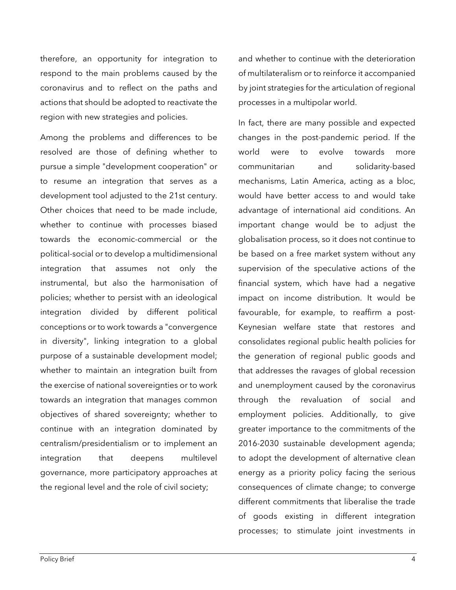therefore, an opportunity for integration to respond to the main problems caused by the coronavirus and to reflect on the paths and actions that should be adopted to reactivate the region with new strategies and policies.

Among the problems and differences to be resolved are those of defining whether to pursue a simple "development cooperation" or to resume an integration that serves as a development tool adjusted to the 21st century. Other choices that need to be made include, whether to continue with processes biased towards the economic-commercial or the political-social or to develop a multidimensional integration that assumes not only the instrumental, but also the harmonisation of policies; whether to persist with an ideological integration divided by different political conceptions or to work towards a "convergence in diversity", linking integration to a global purpose of a sustainable development model; whether to maintain an integration built from the exercise of national sovereignties or to work towards an integration that manages common objectives of shared sovereignty; whether to continue with an integration dominated by centralism/presidentialism or to implement an integration that deepens multilevel governance, more participatory approaches at the regional level and the role of civil society;

and whether to continue with the deterioration of multilateralism or to reinforce it accompanied by joint strategies for the articulation of regional processes in a multipolar world.

In fact, there are many possible and expected changes in the post-pandemic period. If the world were to evolve towards more communitarian and solidarity-based mechanisms, Latin America, acting as a bloc, would have better access to and would take advantage of international aid conditions. An important change would be to adjust the globalisation process, so it does not continue to be based on a free market system without any supervision of the speculative actions of the financial system, which have had a negative impact on income distribution. It would be favourable, for example, to reaffirm a post-Keynesian welfare state that restores and consolidates regional public health policies for the generation of regional public goods and that addresses the ravages of global recession and unemployment caused by the coronavirus through the revaluation of social and employment policies. Additionally, to give greater importance to the commitments of the 2016-2030 sustainable development agenda; to adopt the development of alternative clean energy as a priority policy facing the serious consequences of climate change; to converge different commitments that liberalise the trade of goods existing in different integration processes; to stimulate joint investments in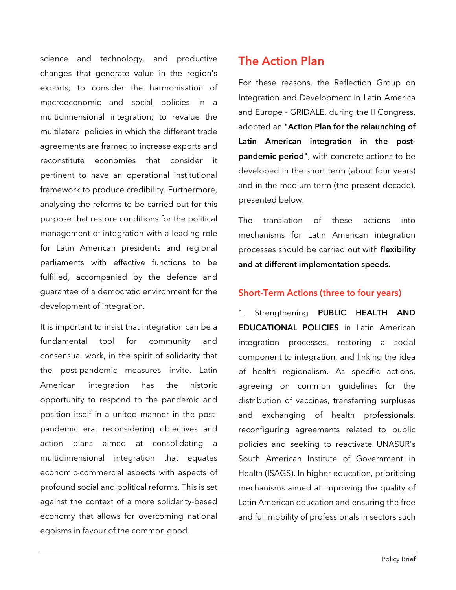science and technology, and productive changes that generate value in the region's exports; to consider the harmonisation of macroeconomic and social policies in a multidimensional integration; to revalue the multilateral policies in which the different trade agreements are framed to increase exports and reconstitute economies that consider it pertinent to have an operational institutional framework to produce credibility. Furthermore, analysing the reforms to be carried out for this purpose that restore conditions for the political management of integration with a leading role for Latin American presidents and regional parliaments with effective functions to be fulfilled, accompanied by the defence and guarantee of a democratic environment for the development of integration.

It is important to insist that integration can be a fundamental tool for community and consensual work, in the spirit of solidarity that the post-pandemic measures invite. Latin American integration has the historic opportunity to respond to the pandemic and position itself in a united manner in the postpandemic era, reconsidering objectives and action plans aimed at consolidating a multidimensional integration that equates economic-commercial aspects with aspects of profound social and political reforms. This is set against the context of a more solidarity-based economy that allows for overcoming national egoisms in favour of the common good.

## The Action Plan

For these reasons, the Reflection Group on Integration and Development in Latin America and Europe - GRIDALE, during the II Congress, adopted an "Action Plan for the relaunching of Latin American integration in the postpandemic period", with concrete actions to be developed in the short term (about four years) and in the medium term (the present decade), presented below.

The translation of these actions into mechanisms for Latin American integration processes should be carried out with flexibility and at different implementation speeds.

#### Short-Term Actions (three to four years)

1. Strengthening PUBLIC HEALTH AND EDUCATIONAL POLICIES in Latin American integration processes, restoring a social component to integration, and linking the idea of health regionalism. As specific actions, agreeing on common guidelines for the distribution of vaccines, transferring surpluses and exchanging of health professionals, reconfiguring agreements related to public policies and seeking to reactivate UNASUR's South American Institute of Government in Health (ISAGS). In higher education, prioritising mechanisms aimed at improving the quality of Latin American education and ensuring the free and full mobility of professionals in sectors such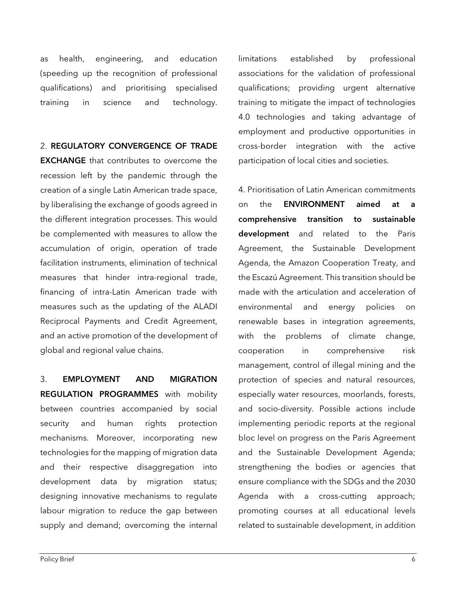as health, engineering, and education (speeding up the recognition of professional qualifications) and prioritising specialised training in science and technology.

#### 2. REGULATORY CONVERGENCE OF TRADE

EXCHANGE that contributes to overcome the recession left by the pandemic through the creation of a single Latin American trade space, by liberalising the exchange of goods agreed in the different integration processes. This would be complemented with measures to allow the accumulation of origin, operation of trade facilitation instruments, elimination of technical measures that hinder intra-regional trade, financing of intra-Latin American trade with measures such as the updating of the ALADI Reciprocal Payments and Credit Agreement, and an active promotion of the development of global and regional value chains.

3. EMPLOYMENT AND MIGRATION REGULATION PROGRAMMES with mobility between countries accompanied by social security and human rights protection mechanisms. Moreover, incorporating new technologies for the mapping of migration data and their respective disaggregation into development data by migration status; designing innovative mechanisms to regulate labour migration to reduce the gap between supply and demand; overcoming the internal

limitations established by professional associations for the validation of professional qualifications; providing urgent alternative training to mitigate the impact of technologies 4.0 technologies and taking advantage of employment and productive opportunities in cross-border integration with the active participation of local cities and societies.

4. Prioritisation of Latin American commitments on the **ENVIRONMENT** aimed at a comprehensive transition to sustainable development and related to the Paris Agreement, the Sustainable Development Agenda, the Amazon Cooperation Treaty, and the Escazú Agreement. This transition should be made with the articulation and acceleration of environmental and energy policies on renewable bases in integration agreements, with the problems of climate change, cooperation in comprehensive risk management, control of illegal mining and the protection of species and natural resources, especially water resources, moorlands, forests, and socio-diversity. Possible actions include implementing periodic reports at the regional bloc level on progress on the Paris Agreement and the Sustainable Development Agenda; strengthening the bodies or agencies that ensure compliance with the SDGs and the 2030 Agenda with a cross-cutting approach; promoting courses at all educational levels related to sustainable development, in addition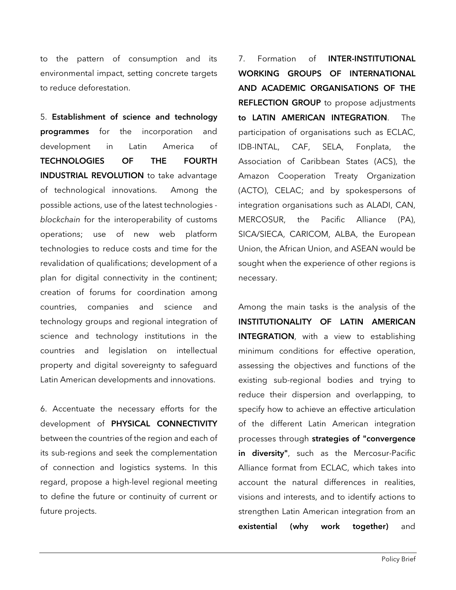to the pattern of consumption and its environmental impact, setting concrete targets to reduce deforestation.

5. Establishment of science and technology programmes for the incorporation and development in Latin America of TECHNOLOGIES OF THE FOURTH INDUSTRIAL REVOLUTION to take advantage of technological innovations. Among the possible actions, use of the latest technologies *blockchain* for the interoperability of customs operations; use of new web platform technologies to reduce costs and time for the revalidation of qualifications; development of a plan for digital connectivity in the continent; creation of forums for coordination among countries, companies and science and technology groups and regional integration of science and technology institutions in the countries and legislation on intellectual property and digital sovereignty to safeguard Latin American developments and innovations.

6. Accentuate the necessary efforts for the development of PHYSICAL CONNECTIVITY between the countries of the region and each of its sub-regions and seek the complementation of connection and logistics systems. In this regard, propose a high-level regional meeting to define the future or continuity of current or future projects.

7. Formation of INTER-INSTITUTIONAL WORKING GROUPS OF INTERNATIONAL AND ACADEMIC ORGANISATIONS OF THE REFLECTION GROUP to propose adjustments to LATIN AMERICAN INTEGRATION. The participation of organisations such as ECLAC, IDB-INTAL, CAF, SELA, Fonplata, the Association of Caribbean States (ACS), the Amazon Cooperation Treaty Organization (ACTO), CELAC; and by spokespersons of integration organisations such as ALADI, CAN, MERCOSUR, the Pacific Alliance (PA), SICA/SIECA, CARICOM, ALBA, the European Union, the African Union, and ASEAN would be sought when the experience of other regions is necessary.

Among the main tasks is the analysis of the INSTITUTIONALITY OF LATIN AMERICAN INTEGRATION, with a view to establishing minimum conditions for effective operation, assessing the objectives and functions of the existing sub-regional bodies and trying to reduce their dispersion and overlapping, to specify how to achieve an effective articulation of the different Latin American integration processes through strategies of "convergence in diversity", such as the Mercosur-Pacific Alliance format from ECLAC, which takes into account the natural differences in realities, visions and interests, and to identify actions to strengthen Latin American integration from an existential (why work together) and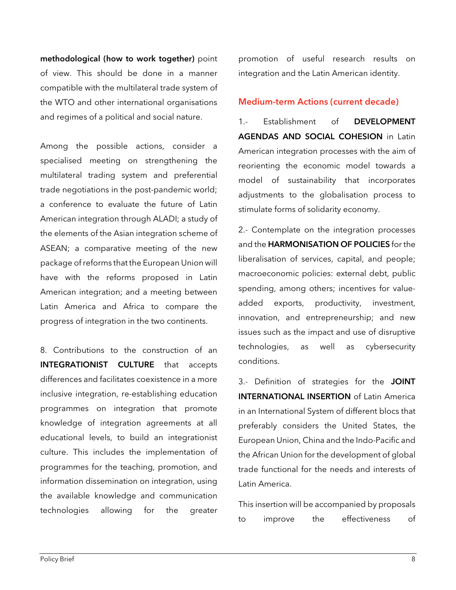methodological (how to work together) point of view. This should be done in a manner compatible with the multilateral trade system of the WTO and other international organisations and regimes of a political and social nature.

Among the possible actions, consider a specialised meeting on strengthening the multilateral trading system and preferential trade negotiations in the post-pandemic world; a conference to evaluate the future of Latin American integration through ALADI; a study of the elements of the Asian integration scheme of ASEAN; a comparative meeting of the new package of reforms that the European Union will have with the reforms proposed in Latin American integration; and a meeting between Latin America and Africa to compare the progress of integration in the two continents.

8. Contributions to the construction of an INTEGRATIONIST CULTURE that accepts differences and facilitates coexistence in a more inclusive integration, re-establishing education programmes on integration that promote knowledge of integration agreements at all educational levels, to build an integrationist culture. This includes the implementation of programmes for the teaching, promotion, and information dissemination on integration, using the available knowledge and communication technologies allowing for the greater promotion of useful research results on integration and the Latin American identity.

#### Medium-term Actions (current decade)

1.- Establishment of DEVELOPMENT AGENDAS AND SOCIAL COHESION in Latin American integration processes with the aim of reorienting the economic model towards a model of sustainability that incorporates adjustments to the globalisation process to stimulate forms of solidarity economy.

2.- Contemplate on the integration processes and the HARMONISATION OF POLICIES for the liberalisation of services, capital, and people; macroeconomic policies: external debt, public spending, among others; incentives for valueadded exports, productivity, investment, innovation, and entrepreneurship; and new issues such as the impact and use of disruptive technologies, as well as cybersecurity conditions.

3.- Definition of strategies for the JOINT INTERNATIONAL INSERTION of Latin America in an International System of different blocs that preferably considers the United States, the European Union, China and the Indo-Pacific and the African Union for the development of global trade functional for the needs and interests of Latin America.

This insertion will be accompanied by proposals to improve the effectiveness of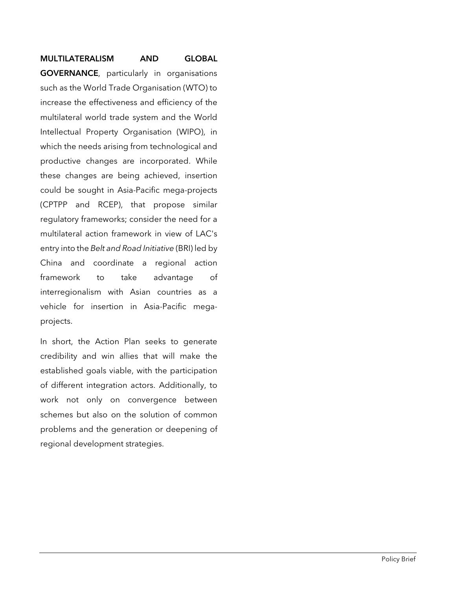#### MULTILATERALISM AND GLOBAL

GOVERNANCE, particularly in organisations such as the World Trade Organisation (WTO) to increase the effectiveness and efficiency of the multilateral world trade system and the World Intellectual Property Organisation (WIPO), in which the needs arising from technological and productive changes are incorporated. While these changes are being achieved, insertion could be sought in Asia-Pacific mega-projects (CPTPP and RCEP), that propose similar regulatory frameworks; consider the need for a multilateral action framework in view of LAC's entry into the *Belt and Road Initiative* (BRI) led by China and coordinate a regional action framework to take advantage of interregionalism with Asian countries as a vehicle for insertion in Asia-Pacific megaprojects.

In short, the Action Plan seeks to generate credibility and win allies that will make the established goals viable, with the participation of different integration actors. Additionally, to work not only on convergence between schemes but also on the solution of common problems and the generation or deepening of regional development strategies.